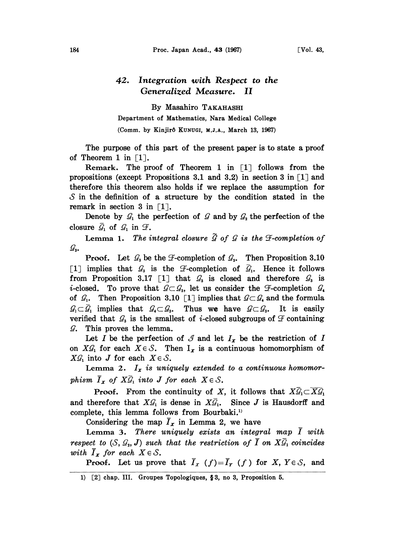## 42. Integration vith Respect to the Generalized Measure. II

By Masahiro TAKAHASHI Department of Mathematics, Nara Medical College (Comm. by Kinjirô KUNUGI, M.J.A., March 13, 1967)

The purpose of this part of the present paper is to state a proof of Theorem 1 in  $\lceil 1 \rceil$ .

Remark. The proof of Theorem 1 in  $\lceil 1 \rceil$  follows from the propositions (except Propositions 3.1 and 3.2) in section 3 in  $\lceil 1 \rceil$  and therefore this theorem also holds if we replace the assumption for  $\mathcal S$  in the definition of a structure by the condition stated in the remark in section 3 in  $\lceil 1 \rceil$ .

Denote by  $\mathcal{G}_1$  the perfection of  $\mathcal G$  and by  $\mathcal{G}_2$  the perfection of the closure  $\bar{\mathcal{G}}_1$  of  $\mathcal{G}_1$  in  $\mathcal{F}_2$ .

Lemma 1. The integral closure  $\tilde{G}$  of  $G$  is the  $\mathcal F$ -completion of  $\mathcal{G}_{2}$ .

**Proof.** Let  $\mathcal{G}_3$  be the  $\mathcal{F}$ -completion of  $\mathcal{G}_2$ . Then Proposition 3.10 [1] implies that  $\mathcal{G}_3$  is the  $\mathcal{F}$ -completion of  $\bar{\mathcal{G}}_1$ . Hence it follows from Proposition 3.17 [1] that  $\mathcal{G}_3$  is closed and therefore  $\mathcal{G}_3$  is *i*-closed. To prove that  $G \subset G_s$ , let us consider the  $\mathcal{F}$ -completion  $G_s$ of  $\mathcal{G}_1$ . Then Proposition 3.10 [1] implies that  $\mathcal{G} \subset \mathcal{G}_4$  and the formula  $\mathcal{G}_1 \subset \overline{\mathcal{G}}_1$  implies that  $\mathcal{G}_4 \subset \mathcal{G}_3$ . Thus we have  $\mathcal{G} \subset \mathcal{G}_3$ . It is easily verified that  $\mathcal{G}_3$  is the smallest of *i*-closed subgroups of  $\mathcal F$  containing  $\mathcal{G}$ . This proves the lemma.

Let I be the perfection of  $\mathcal{J}$  and let  $I_x$  be the restriction of I on  $X\mathcal{G}_1$  for each  $X \in \mathcal{S}$ . Then  $I_x$  is a continuous homomorphism of  $X\mathcal{G}_1$  into J for each  $X \in \mathcal{S}$ .

Lemma 2.  $I_x$  is uniquely extended to a continuous homomorphism  $\overline{I}_x$  of  $X\overline{\mathcal{G}}_1$  into J for each  $X \in \mathcal{S}$ .

**Proof.** From the continuity of X, it follows that  $X\overline{G}_1 \subset \overline{X}\overline{G}_1$ **Proof.** From the continuity of X, it follows that  $X\mathcal{G}_1 \subset X\mathcal{G}_1$ <br>and therefore that  $X\mathcal{G}_1$  is dense in  $X\overline{\mathcal{G}}_1$ . Since J is Hausdorff and complete, this lemma follows from Bourbaki.

Considering the map  $\overline{I}_x$  in Lemma 2, we have

Lemma 3. There uniquely exists an integral map I with respect to  $(S, \mathcal{G}_3, J)$  such that the restriction of  $\overline{I}$  on  $X\overline{\mathcal{G}}_1$  coincides with  $I_x$  for each  $X \in \mathcal{S}$ .

**Proof.** Let us prove that  $\overline{I}_X$  (f)= $\overline{I}_Y$  (f) for X,  $Y \in S$ , and

<sup>1) [2]</sup> chap. III. Groupes Topologiques, §3, no 3, Proposition 5.